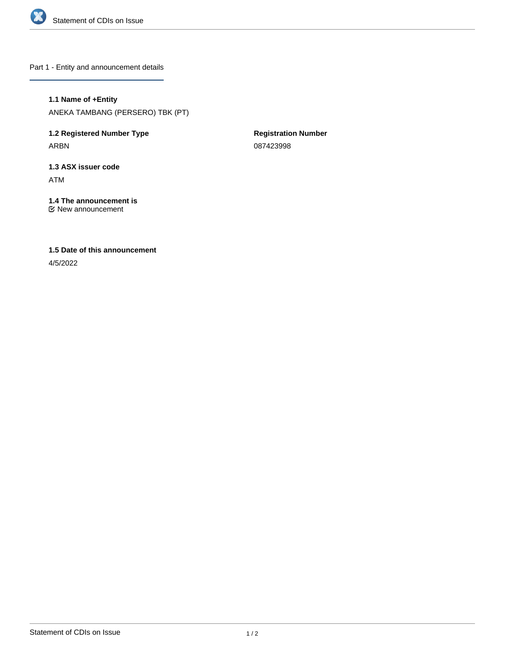

Part 1 - Entity and announcement details

**1.1 Name of +Entity** ANEKA TAMBANG (PERSERO) TBK (PT)

**1.2 Registered Number Type** ARBN

**Registration Number** 087423998

**1.3 ASX issuer code** ATM

**1.4 The announcement is** New announcement

**1.5 Date of this announcement**

4/5/2022